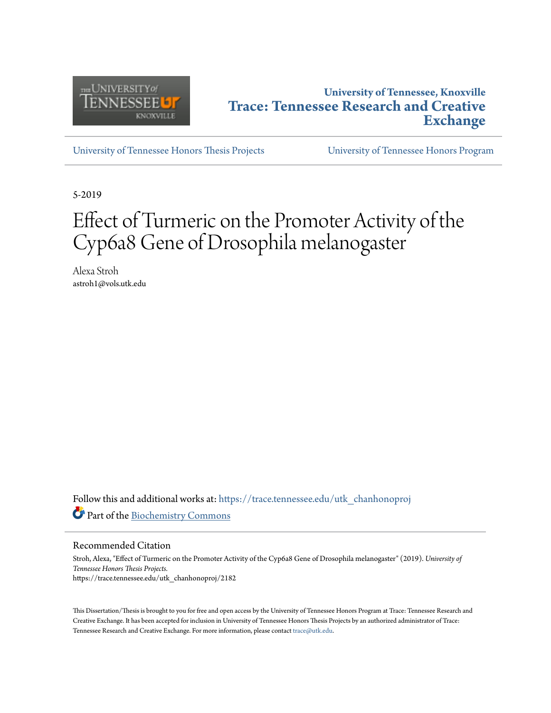

# **University of Tennessee, Knoxville [Trace: Tennessee Research and Creative](https://trace.tennessee.edu?utm_source=trace.tennessee.edu%2Futk_chanhonoproj%2F2182&utm_medium=PDF&utm_campaign=PDFCoverPages) [Exchange](https://trace.tennessee.edu?utm_source=trace.tennessee.edu%2Futk_chanhonoproj%2F2182&utm_medium=PDF&utm_campaign=PDFCoverPages)**

[University of Tennessee Honors Thesis Projects](https://trace.tennessee.edu/utk_chanhonoproj?utm_source=trace.tennessee.edu%2Futk_chanhonoproj%2F2182&utm_medium=PDF&utm_campaign=PDFCoverPages) [University of Tennessee Honors Program](https://trace.tennessee.edu/utk_chanhono?utm_source=trace.tennessee.edu%2Futk_chanhonoproj%2F2182&utm_medium=PDF&utm_campaign=PDFCoverPages)

5-2019

# Effect of Turmeric on the Promoter Activity of the Cyp6a8 Gene of Drosophila melanogaster

Alexa Stroh astroh1@vols.utk.edu

Follow this and additional works at: [https://trace.tennessee.edu/utk\\_chanhonoproj](https://trace.tennessee.edu/utk_chanhonoproj?utm_source=trace.tennessee.edu%2Futk_chanhonoproj%2F2182&utm_medium=PDF&utm_campaign=PDFCoverPages) Part of the [Biochemistry Commons](http://network.bepress.com/hgg/discipline/2?utm_source=trace.tennessee.edu%2Futk_chanhonoproj%2F2182&utm_medium=PDF&utm_campaign=PDFCoverPages)

Recommended Citation

Stroh, Alexa, "Effect of Turmeric on the Promoter Activity of the Cyp6a8 Gene of Drosophila melanogaster" (2019). *University of Tennessee Honors Thesis Projects.* https://trace.tennessee.edu/utk\_chanhonoproj/2182

This Dissertation/Thesis is brought to you for free and open access by the University of Tennessee Honors Program at Trace: Tennessee Research and Creative Exchange. It has been accepted for inclusion in University of Tennessee Honors Thesis Projects by an authorized administrator of Trace: Tennessee Research and Creative Exchange. For more information, please contact [trace@utk.edu.](mailto:trace@utk.edu)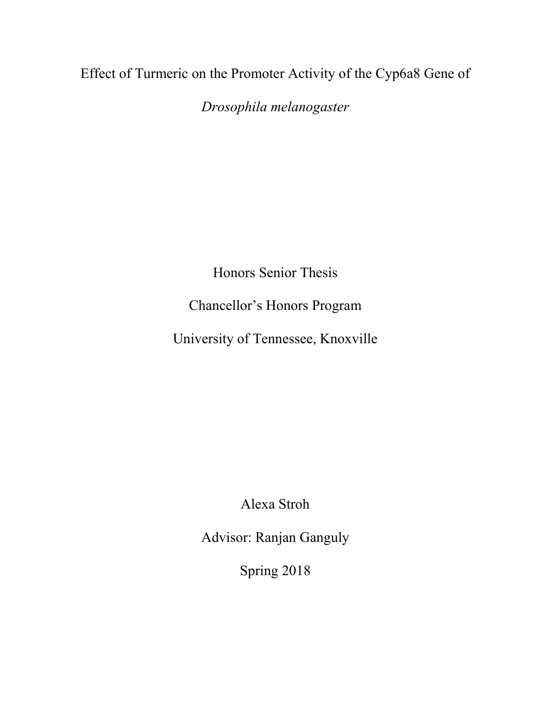Effect of Turmeric on the Promoter Activity of the Cyp6a8 Gene of

*Drosophila melanogaster*

Honors Senior Thesis

Chancellor's Honors Program

University of Tennessee, Knoxville

Alexa Stroh

Advisor: Ranjan Ganguly

Spring 2018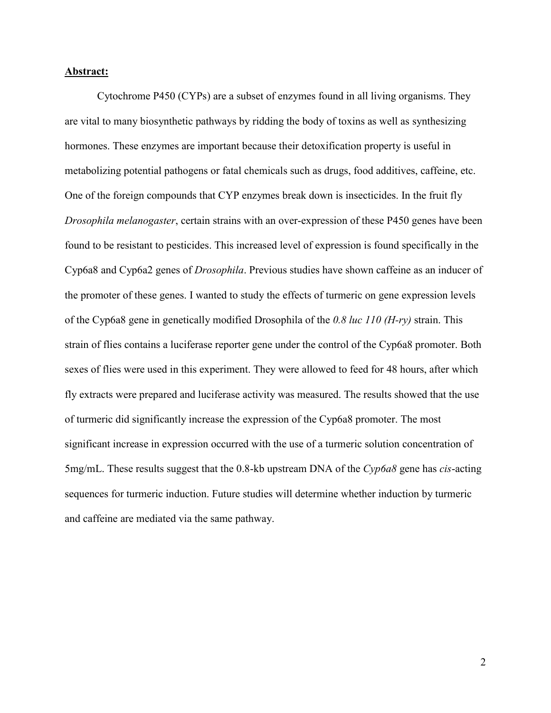#### **Abstract:**

Cytochrome P450 (CYPs) are a subset of enzymes found in all living organisms. They are vital to many biosynthetic pathways by ridding the body of toxins as well as synthesizing hormones. These enzymes are important because their detoxification property is useful in metabolizing potential pathogens or fatal chemicals such as drugs, food additives, caffeine, etc. One of the foreign compounds that CYP enzymes break down is insecticides. In the fruit fly *Drosophila melanogaster*, certain strains with an over-expression of these P450 genes have been found to be resistant to pesticides. This increased level of expression is found specifically in the Cyp6a8 and Cyp6a2 genes of *Drosophila*. Previous studies have shown caffeine as an inducer of the promoter of these genes. I wanted to study the effects of turmeric on gene expression levels of the Cyp6a8 gene in genetically modified Drosophila of the *0.8 luc 110 (H-ry)* strain. This strain of flies contains a luciferase reporter gene under the control of the Cyp6a8 promoter. Both sexes of flies were used in this experiment. They were allowed to feed for 48 hours, after which fly extracts were prepared and luciferase activity was measured. The results showed that the use of turmeric did significantly increase the expression of the Cyp6a8 promoter. The most significant increase in expression occurred with the use of a turmeric solution concentration of 5mg/mL. These results suggest that the 0.8-kb upstream DNA of the *Cyp6a8* gene has *cis*-acting sequences for turmeric induction. Future studies will determine whether induction by turmeric and caffeine are mediated via the same pathway.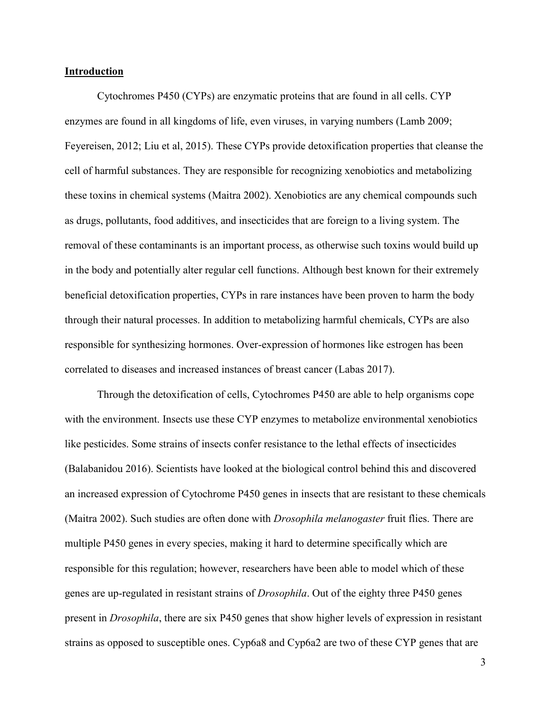#### **Introduction**

Cytochromes P450 (CYPs) are enzymatic proteins that are found in all cells. CYP enzymes are found in all kingdoms of life, even viruses, in varying numbers (Lamb 2009; Feyereisen, 2012; Liu et al, 2015). These CYPs provide detoxification properties that cleanse the cell of harmful substances. They are responsible for recognizing xenobiotics and metabolizing these toxins in chemical systems (Maitra 2002). Xenobiotics are any chemical compounds such as drugs, pollutants, food additives, and insecticides that are foreign to a living system. The removal of these contaminants is an important process, as otherwise such toxins would build up in the body and potentially alter regular cell functions. Although best known for their extremely beneficial detoxification properties, CYPs in rare instances have been proven to harm the body through their natural processes. In addition to metabolizing harmful chemicals, CYPs are also responsible for synthesizing hormones. Over-expression of hormones like estrogen has been correlated to diseases and increased instances of breast cancer (Labas 2017).

Through the detoxification of cells, Cytochromes P450 are able to help organisms cope with the environment. Insects use these CYP enzymes to metabolize environmental xenobiotics like pesticides. Some strains of insects confer resistance to the lethal effects of insecticides (Balabanidou 2016). Scientists have looked at the biological control behind this and discovered an increased expression of Cytochrome P450 genes in insects that are resistant to these chemicals (Maitra 2002). Such studies are often done with *Drosophila melanogaster* fruit flies. There are multiple P450 genes in every species, making it hard to determine specifically which are responsible for this regulation; however, researchers have been able to model which of these genes are up-regulated in resistant strains of *Drosophila*. Out of the eighty three P450 genes present in *Drosophila*, there are six P450 genes that show higher levels of expression in resistant strains as opposed to susceptible ones. Cyp6a8 and Cyp6a2 are two of these CYP genes that are

3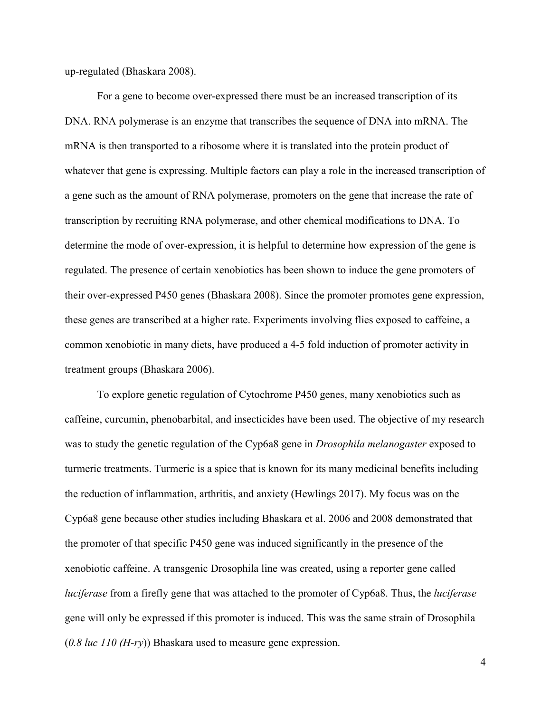up-regulated (Bhaskara 2008).

For a gene to become over-expressed there must be an increased transcription of its DNA. RNA polymerase is an enzyme that transcribes the sequence of DNA into mRNA. The mRNA is then transported to a ribosome where it is translated into the protein product of whatever that gene is expressing. Multiple factors can play a role in the increased transcription of a gene such as the amount of RNA polymerase, promoters on the gene that increase the rate of transcription by recruiting RNA polymerase, and other chemical modifications to DNA. To determine the mode of over-expression, it is helpful to determine how expression of the gene is regulated. The presence of certain xenobiotics has been shown to induce the gene promoters of their over-expressed P450 genes (Bhaskara 2008). Since the promoter promotes gene expression, these genes are transcribed at a higher rate. Experiments involving flies exposed to caffeine, a common xenobiotic in many diets, have produced a 4-5 fold induction of promoter activity in treatment groups (Bhaskara 2006).

To explore genetic regulation of Cytochrome P450 genes, many xenobiotics such as caffeine, curcumin, phenobarbital, and insecticides have been used. The objective of my research was to study the genetic regulation of the Cyp6a8 gene in *Drosophila melanogaster* exposed to turmeric treatments. Turmeric is a spice that is known for its many medicinal benefits including the reduction of inflammation, arthritis, and anxiety (Hewlings 2017). My focus was on the Cyp6a8 gene because other studies including Bhaskara et al. 2006 and 2008 demonstrated that the promoter of that specific P450 gene was induced significantly in the presence of the xenobiotic caffeine. A transgenic Drosophila line was created, using a reporter gene called *luciferase* from a firefly gene that was attached to the promoter of Cyp6a8. Thus, the *luciferase* gene will only be expressed if this promoter is induced. This was the same strain of Drosophila (*0.8 luc 110 (H-ry*)) Bhaskara used to measure gene expression.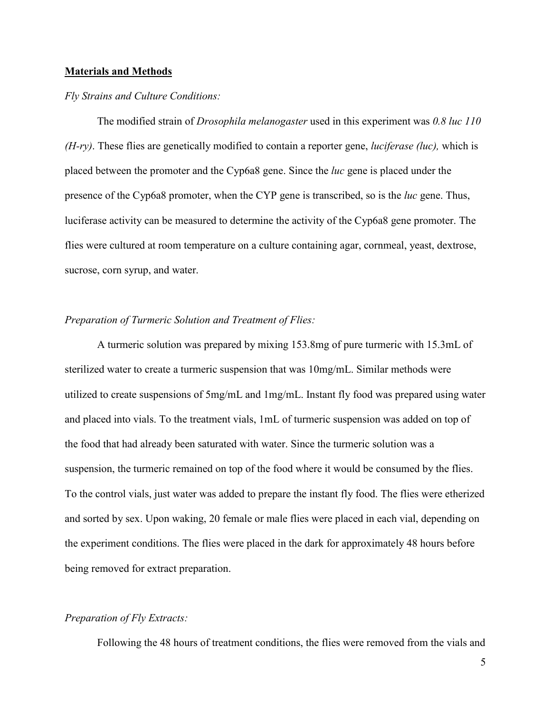#### **Materials and Methods**

#### *Fly Strains and Culture Conditions:*

The modified strain of *Drosophila melanogaster* used in this experiment was *0.8 luc 110 (H-ry)*. These flies are genetically modified to contain a reporter gene, *luciferase (luc),* which is placed between the promoter and the Cyp6a8 gene. Since the *luc* gene is placed under the presence of the Cyp6a8 promoter, when the CYP gene is transcribed, so is the *luc* gene. Thus, luciferase activity can be measured to determine the activity of the Cyp6a8 gene promoter. The flies were cultured at room temperature on a culture containing agar, cornmeal, yeast, dextrose, sucrose, corn syrup, and water.

#### *Preparation of Turmeric Solution and Treatment of Flies:*

A turmeric solution was prepared by mixing 153.8mg of pure turmeric with 15.3mL of sterilized water to create a turmeric suspension that was 10mg/mL. Similar methods were utilized to create suspensions of 5mg/mL and 1mg/mL. Instant fly food was prepared using water and placed into vials. To the treatment vials, 1mL of turmeric suspension was added on top of the food that had already been saturated with water. Since the turmeric solution was a suspension, the turmeric remained on top of the food where it would be consumed by the flies. To the control vials, just water was added to prepare the instant fly food. The flies were etherized and sorted by sex. Upon waking, 20 female or male flies were placed in each vial, depending on the experiment conditions. The flies were placed in the dark for approximately 48 hours before being removed for extract preparation.

## *Preparation of Fly Extracts:*

Following the 48 hours of treatment conditions, the flies were removed from the vials and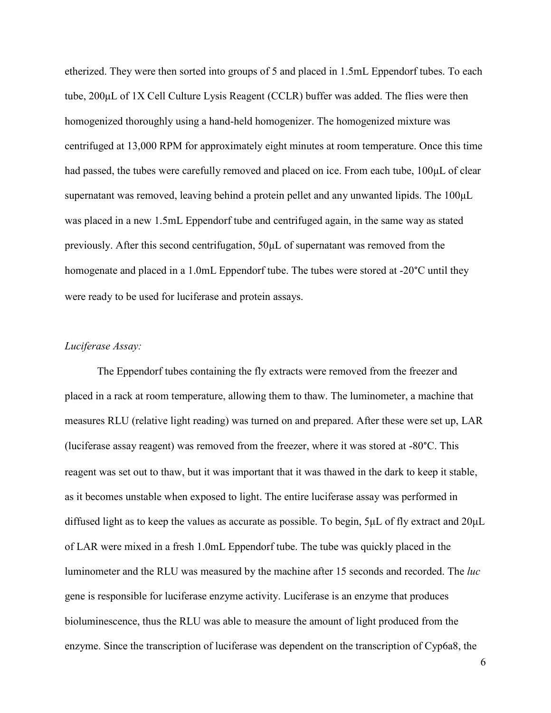etherized. They were then sorted into groups of 5 and placed in 1.5mL Eppendorf tubes. To each tube, 200μL of 1X Cell Culture Lysis Reagent (CCLR) buffer was added. The flies were then homogenized thoroughly using a hand-held homogenizer. The homogenized mixture was centrifuged at 13,000 RPM for approximately eight minutes at room temperature. Once this time had passed, the tubes were carefully removed and placed on ice. From each tube, 100μL of clear supernatant was removed, leaving behind a protein pellet and any unwanted lipids. The 100μL was placed in a new 1.5mL Eppendorf tube and centrifuged again, in the same way as stated previously. After this second centrifugation, 50μL of supernatant was removed from the homogenate and placed in a 1.0mL Eppendorf tube. The tubes were stored at -20°C until they were ready to be used for luciferase and protein assays.

# *Luciferase Assay:*

The Eppendorf tubes containing the fly extracts were removed from the freezer and placed in a rack at room temperature, allowing them to thaw. The luminometer, a machine that measures RLU (relative light reading) was turned on and prepared. After these were set up, LAR (luciferase assay reagent) was removed from the freezer, where it was stored at -80°C. This reagent was set out to thaw, but it was important that it was thawed in the dark to keep it stable, as it becomes unstable when exposed to light. The entire luciferase assay was performed in diffused light as to keep the values as accurate as possible. To begin, 5μL of fly extract and 20μL of LAR were mixed in a fresh 1.0mL Eppendorf tube. The tube was quickly placed in the luminometer and the RLU was measured by the machine after 15 seconds and recorded. The *luc* gene is responsible for luciferase enzyme activity. Luciferase is an enzyme that produces bioluminescence, thus the RLU was able to measure the amount of light produced from the enzyme. Since the transcription of luciferase was dependent on the transcription of Cyp6a8, the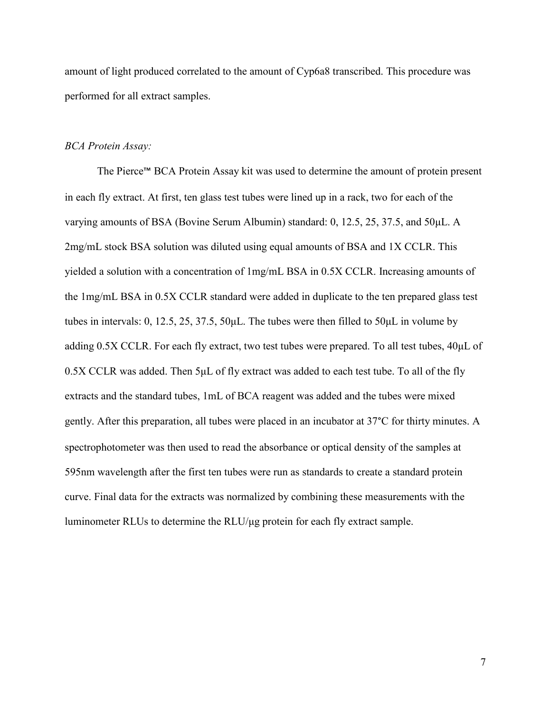amount of light produced correlated to the amount of Cyp6a8 transcribed. This procedure was performed for all extract samples.

## *BCA Protein Assay:*

The Pierce™ BCA Protein Assay kit was used to determine the amount of protein present in each fly extract. At first, ten glass test tubes were lined up in a rack, two for each of the varying amounts of BSA (Bovine Serum Albumin) standard: 0, 12.5, 25, 37.5, and 50μL. A 2mg/mL stock BSA solution was diluted using equal amounts of BSA and 1X CCLR. This yielded a solution with a concentration of 1mg/mL BSA in 0.5X CCLR. Increasing amounts of the 1mg/mL BSA in 0.5X CCLR standard were added in duplicate to the ten prepared glass test tubes in intervals: 0, 12.5, 25, 37.5, 50μL. The tubes were then filled to 50μL in volume by adding 0.5X CCLR. For each fly extract, two test tubes were prepared. To all test tubes, 40μL of 0.5X CCLR was added. Then 5μL of fly extract was added to each test tube. To all of the fly extracts and the standard tubes, 1mL of BCA reagent was added and the tubes were mixed gently. After this preparation, all tubes were placed in an incubator at 37°C for thirty minutes. A spectrophotometer was then used to read the absorbance or optical density of the samples at 595nm wavelength after the first ten tubes were run as standards to create a standard protein curve. Final data for the extracts was normalized by combining these measurements with the luminometer RLUs to determine the RLU/μg protein for each fly extract sample.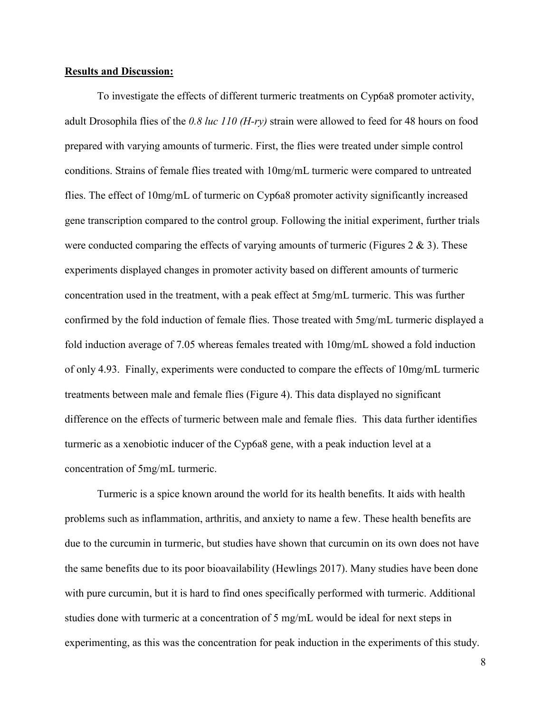#### **Results and Discussion:**

To investigate the effects of different turmeric treatments on Cyp6a8 promoter activity, adult Drosophila flies of the *0.8 luc 110 (H-ry)* strain were allowed to feed for 48 hours on food prepared with varying amounts of turmeric. First, the flies were treated under simple control conditions. Strains of female flies treated with 10mg/mL turmeric were compared to untreated flies. The effect of 10mg/mL of turmeric on Cyp6a8 promoter activity significantly increased gene transcription compared to the control group. Following the initial experiment, further trials were conducted comparing the effects of varying amounts of turmeric (Figures 2  $\&$  3). These experiments displayed changes in promoter activity based on different amounts of turmeric concentration used in the treatment, with a peak effect at 5mg/mL turmeric. This was further confirmed by the fold induction of female flies. Those treated with 5mg/mL turmeric displayed a fold induction average of 7.05 whereas females treated with 10mg/mL showed a fold induction of only 4.93. Finally, experiments were conducted to compare the effects of 10mg/mL turmeric treatments between male and female flies (Figure 4). This data displayed no significant difference on the effects of turmeric between male and female flies. This data further identifies turmeric as a xenobiotic inducer of the Cyp6a8 gene, with a peak induction level at a concentration of 5mg/mL turmeric.

Turmeric is a spice known around the world for its health benefits. It aids with health problems such as inflammation, arthritis, and anxiety to name a few. These health benefits are due to the curcumin in turmeric, but studies have shown that curcumin on its own does not have the same benefits due to its poor bioavailability (Hewlings 2017). Many studies have been done with pure curcumin, but it is hard to find ones specifically performed with turmeric. Additional studies done with turmeric at a concentration of 5 mg/mL would be ideal for next steps in experimenting, as this was the concentration for peak induction in the experiments of this study.

8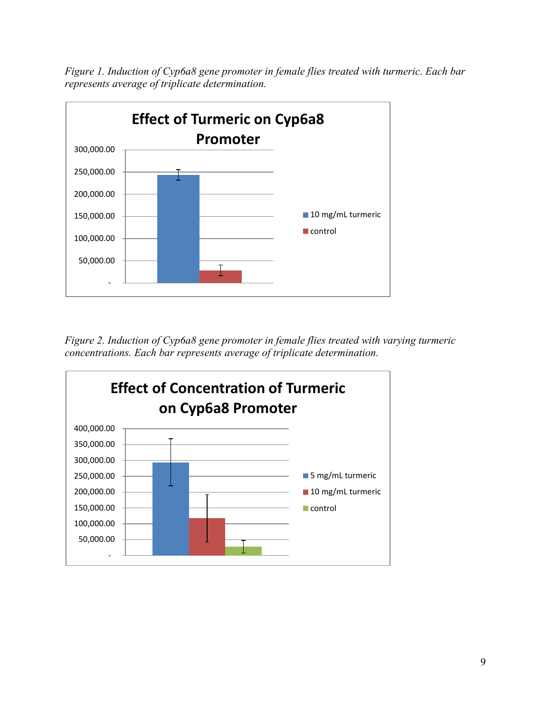*Figure 1. Induction of Cyp6a8 gene promoter in female flies treated with turmeric. Each bar represents average of triplicate determination.*



*Figure 2. Induction of Cyp6a8 gene promoter in female flies treated with varying turmeric concentrations. Each bar represents average of triplicate determination.*

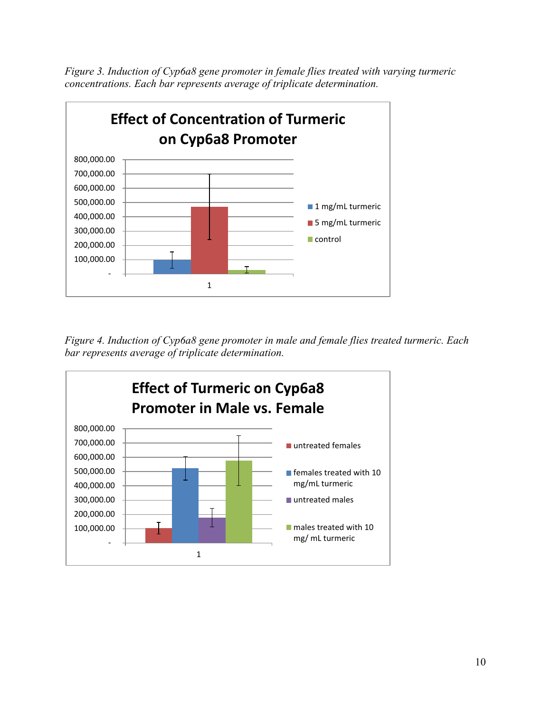*Figure 3. Induction of Cyp6a8 gene promoter in female flies treated with varying turmeric concentrations. Each bar represents average of triplicate determination.*



*Figure 4. Induction of Cyp6a8 gene promoter in male and female flies treated turmeric. Each bar represents average of triplicate determination.*

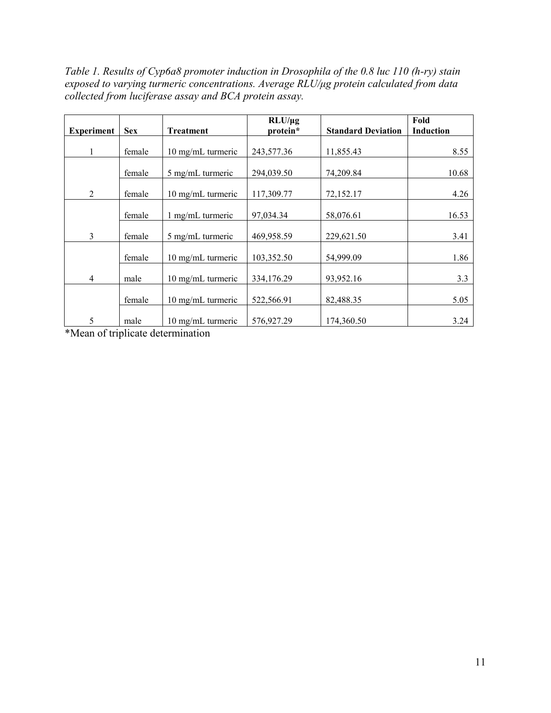*Table 1. Results of Cyp6a8 promoter induction in Drosophila of the 0.8 luc 110 (h-ry) stain exposed to varying turmeric concentrations. Average RLU/μg protein calculated from data collected from luciferase assay and BCA protein assay.* 

| <b>Experiment</b> | <b>Sex</b> | <b>Treatment</b>            | $RLU/\mu$ g<br>protein* | <b>Standard Deviation</b> | Fold<br><b>Induction</b> |
|-------------------|------------|-----------------------------|-------------------------|---------------------------|--------------------------|
|                   |            |                             |                         |                           |                          |
|                   | female     | 10 mg/mL turmeric           | 243,577.36              | 11,855.43                 | 8.55                     |
|                   | female     | 5 mg/mL turmeric            | 294,039.50              | 74,209.84                 | 10.68                    |
| $\mathfrak{D}$    | female     | 10 mg/mL turmeric           | 117,309.77              | 72,152.17                 | 4.26                     |
|                   | female     | 1 mg/mL turmeric            | 97,034.34               | 58,076.61                 | 16.53                    |
| 3                 | female     | 5 mg/mL turmeric            | 469,958.59              | 229,621.50                | 3.41                     |
|                   | female     | 10 mg/mL turmeric           | 103,352.50              | 54,999.09                 | 1.86                     |
| 4                 | male       | 10 mg/mL turmeric           | 334,176.29              | 93,952.16                 | 3.3                      |
|                   | female     | $10 \text{ mg/mL}$ turmeric | 522,566.91              | 82,488.35                 | 5.05                     |
| 5                 | male       | 10 mg/mL turmeric           | 576,927.29              | 174,360.50                | 3.24                     |

\*Mean of triplicate determination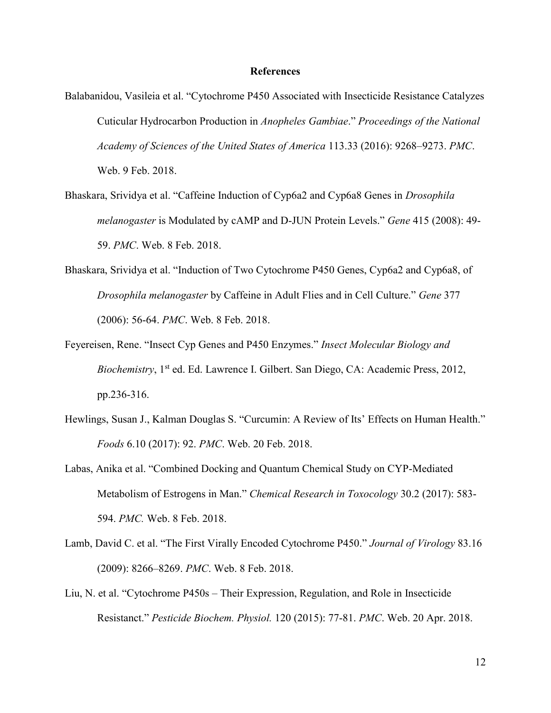#### **References**

- Balabanidou, Vasileia et al. "Cytochrome P450 Associated with Insecticide Resistance Catalyzes Cuticular Hydrocarbon Production in *Anopheles Gambiae*." *Proceedings of the National Academy of Sciences of the United States of America* 113.33 (2016): 9268–9273. *PMC*. Web. 9 Feb. 2018.
- Bhaskara, Srividya et al. "Caffeine Induction of Cyp6a2 and Cyp6a8 Genes in *Drosophila melanogaster* is Modulated by cAMP and D-JUN Protein Levels." *Gene* 415 (2008): 49- 59. *PMC*. Web. 8 Feb. 2018.
- Bhaskara, Srividya et al. "Induction of Two Cytochrome P450 Genes, Cyp6a2 and Cyp6a8, of *Drosophila melanogaster* by Caffeine in Adult Flies and in Cell Culture." *Gene* 377 (2006): 56-64. *PMC*. Web. 8 Feb. 2018.
- Feyereisen, Rene. "Insect Cyp Genes and P450 Enzymes." *Insect Molecular Biology and Biochemistry*, 1<sup>st</sup> ed. Ed. Lawrence I. Gilbert. San Diego, CA: Academic Press, 2012, pp.236-316.
- Hewlings, Susan J., Kalman Douglas S. "Curcumin: A Review of Its' Effects on Human Health." *Foods* 6.10 (2017): 92. *PMC*. Web. 20 Feb. 2018.
- Labas, Anika et al. "Combined Docking and Quantum Chemical Study on CYP-Mediated Metabolism of Estrogens in Man." *Chemical Research in Toxocology* 30.2 (2017): 583- 594. *PMC.* Web. 8 Feb. 2018.
- Lamb, David C. et al. "The First Virally Encoded Cytochrome P450." *Journal of Virology* 83.16 (2009): 8266–8269. *PMC*. Web. 8 Feb. 2018.
- Liu, N. et al. "Cytochrome P450s Their Expression, Regulation, and Role in Insecticide Resistanct." *Pesticide Biochem. Physiol.* 120 (2015): 77-81. *PMC*. Web. 20 Apr. 2018.